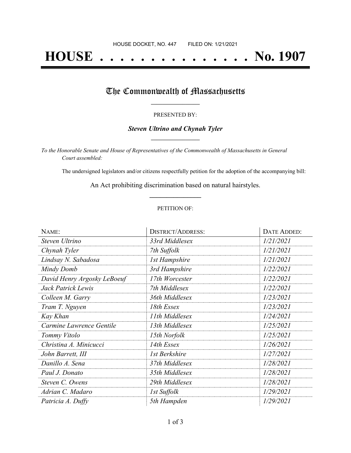# **HOUSE . . . . . . . . . . . . . . . No. 1907**

## The Commonwealth of Massachusetts

#### PRESENTED BY:

#### *Steven Ultrino and Chynah Tyler* **\_\_\_\_\_\_\_\_\_\_\_\_\_\_\_\_\_**

*To the Honorable Senate and House of Representatives of the Commonwealth of Massachusetts in General Court assembled:*

The undersigned legislators and/or citizens respectfully petition for the adoption of the accompanying bill:

An Act prohibiting discrimination based on natural hairstyles. **\_\_\_\_\_\_\_\_\_\_\_\_\_\_\_**

#### PETITION OF:

| NAME:                       | <b>DISTRICT/ADDRESS:</b> | <b>DATE ADDED:</b> |
|-----------------------------|--------------------------|--------------------|
| Steven Ultrino              | 33rd Middlesex           | 1/21/2021          |
| Chynah Tyler                | 7th Suffolk              | 1/21/2021          |
| Lindsay N. Sabadosa         | <b>1st Hampshire</b>     | 1/21/2021          |
| Mindy Domb                  | 3rd Hampshire            | 1/22/2021          |
| David Henry Argosky LeBoeuf | 17th Worcester           | 1/22/2021          |
| Jack Patrick Lewis          | 7th Middlesex            | 1/22/2021          |
| Colleen M. Garry            | 36th Middlesex           | 1/23/2021          |
| Tram T. Nguyen              | 18th Essex               | 1/23/2021          |
| Kay Khan                    | 11th Middlesex           | 1/24/2021          |
| Carmine Lawrence Gentile    | 13th Middlesex           | 1/25/2021          |
| Tommy Vitolo                | 15th Norfolk             | 1/25/2021          |
| Christina A. Minicucci      | 14th Essex               | 1/26/2021          |
| John Barrett, III           | 1st Berkshire            | 1/27/2021          |
| Danillo A. Sena             | 37th Middlesex           | 1/28/2021          |
| Paul J. Donato              | 35th Middlesex           | 1/28/2021          |
| Steven C. Owens             | 29th Middlesex           | 1/28/2021          |
| Adrian C. Madaro            | 1st Suffolk              | 1/29/2021          |
| Patricia A. Duffy           | 5th Hampden              | 1/29/2021          |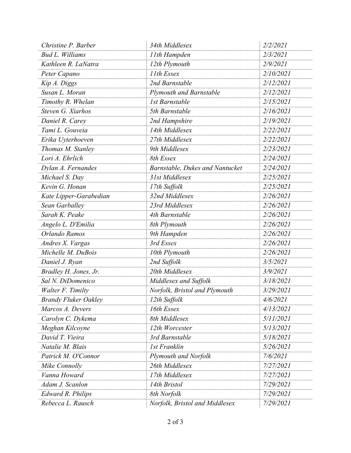| Christine P. Barber         | 34th Middlesex                  | 2/2/2021        |
|-----------------------------|---------------------------------|-----------------|
| <b>Bud L. Williams</b>      | 11th Hampden                    | 2/3/2021        |
| Kathleen R. LaNatra         | 12th Plymouth                   | 2/9/2021        |
| Peter Capano                | 11th Essex                      | 2/10/2021       |
| Kip A. Diggs                | 2nd Barnstable                  | 2/12/2021       |
| Susan L. Moran              | <b>Plymouth and Barnstable</b>  | 2/12/2021       |
| Timothy R. Whelan           | <b>1st Barnstable</b>           | 2/15/2021       |
| Steven G. Xiarhos           | 5th Barnstable                  | 2/16/2021       |
| Daniel R. Carey             | 2nd Hampshire                   | 2/19/2021       |
| Tami L. Gouveia             | 14th Middlesex                  | 2/22/2021       |
| Erika Uyterhoeven           | 27th Middlesex                  | 2/22/2021       |
| Thomas M. Stanley           | 9th Middlesex                   | 2/23/2021       |
| Lori A. Ehrlich             | 8th Essex                       | 2/24/2021       |
| Dylan A. Fernandes          | Barnstable, Dukes and Nantucket | 2/24/2021       |
| Michael S. Day              | 31st Middlesex                  | 2/25/2021       |
| Kevin G. Honan              | 17th Suffolk                    | 2/25/2021       |
| Kate Lipper-Garabedian      | 32nd Middlesex                  | 2/26/2021       |
| Sean Garballey              | 23rd Middlesex                  | 2/26/2021       |
| Sarah K. Peake              | 4th Barnstable                  | 2/26/2021       |
| Angelo L. D'Emilia          | 8th Plymouth                    | 2/26/2021       |
| Orlando Ramos               | 9th Hampden                     | 2/26/2021       |
| Andres X. Vargas            | 3rd Essex                       | 2/26/2021       |
| Michelle M. DuBois          | 10th Plymouth                   | 2/26/2021       |
| Daniel J. Ryan              | 2nd Suffolk                     | 3/5/2021        |
| Bradley H. Jones, Jr.       | 20th Middlesex                  | 3/9/2021        |
| Sal N. DiDomenico           | Middlesex and Suffolk           | 3/18/2021       |
| Walter F. Timilty           | Norfolk, Bristol and Plymouth   | 3/29/2021       |
| <b>Brandy Fluker Oakley</b> | 12th Suffolk                    | <i>4/6/2021</i> |
| Marcos A. Devers            | 16th Essex                      | 4/13/2021       |
| Carolyn C. Dykema           | 8th Middlesex                   | 5/11/2021       |
| Meghan Kilcoyne             | 12th Worcester                  | 5/13/2021       |
| David T. Vieira             | 3rd Barnstable                  | 5/18/2021       |
| Natalie M. Blais            | <b>1st Franklin</b>             | 5/26/2021       |
| Patrick M. O'Connor         | Plymouth and Norfolk            | 7/6/2021        |
| Mike Connolly               | 26th Middlesex                  | 7/27/2021       |
| Vanna Howard                | 17th Middlesex                  | 7/27/2021       |
| Adam J. Scanlon             | 14th Bristol                    | 7/29/2021       |
| <b>Edward R. Philips</b>    | 8th Norfolk                     | 7/29/2021       |
| Rebecca L. Rausch           | Norfolk, Bristol and Middlesex  | 7/29/2021       |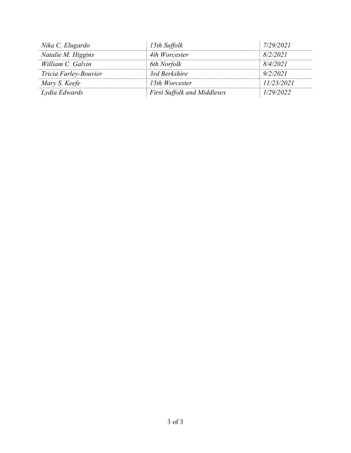| Nika C. Elugardo      | 15th Suffolk                       | 7/29/2021  |
|-----------------------|------------------------------------|------------|
| Natalie M. Higgins    | 4th Worcester                      | 8/2/2021   |
| William C. Galvin     | 6th Norfolk                        | 8/4/2021   |
| Tricia Farley-Bouvier | 3rd Berkshire                      | 9/2/2021   |
| Mary S. Keefe         | 15th Worcester                     | 11/23/2021 |
| Lydia Edwards         | <b>First Suffolk and Middlesex</b> | 1/29/2022  |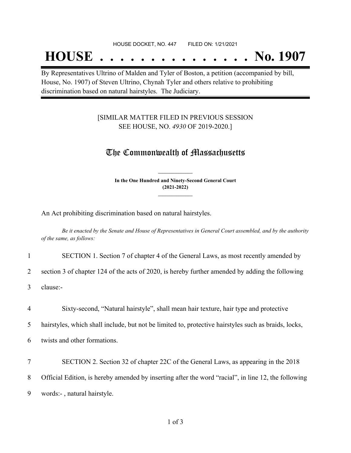#### HOUSE DOCKET, NO. 447 FILED ON: 1/21/2021

## **HOUSE . . . . . . . . . . . . . . . No. 1907**

By Representatives Ultrino of Malden and Tyler of Boston, a petition (accompanied by bill, House, No. 1907) of Steven Ultrino, Chynah Tyler and others relative to prohibiting discrimination based on natural hairstyles. The Judiciary.

### [SIMILAR MATTER FILED IN PREVIOUS SESSION SEE HOUSE, NO. *4930* OF 2019-2020.]

## The Commonwealth of Massachusetts

**In the One Hundred and Ninety-Second General Court (2021-2022) \_\_\_\_\_\_\_\_\_\_\_\_\_\_\_**

**\_\_\_\_\_\_\_\_\_\_\_\_\_\_\_**

An Act prohibiting discrimination based on natural hairstyles.

Be it enacted by the Senate and House of Representatives in General Court assembled, and by the authority *of the same, as follows:*

#### 1 SECTION 1. Section 7 of chapter 4 of the General Laws, as most recently amended by

2 section 3 of chapter 124 of the acts of 2020, is hereby further amended by adding the following

3 clause:-

4 Sixty-second, "Natural hairstyle", shall mean hair texture, hair type and protective

5 hairstyles, which shall include, but not be limited to, protective hairstyles such as braids, locks,

6 twists and other formations.

7 SECTION 2. Section 32 of chapter 22C of the General Laws, as appearing in the 2018 8 Official Edition, is hereby amended by inserting after the word "racial", in line 12, the following 9 words:- , natural hairstyle.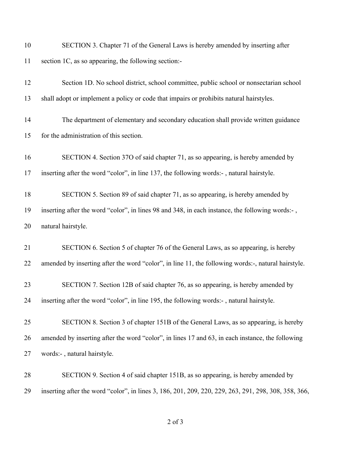| 10 | SECTION 3. Chapter 71 of the General Laws is hereby amended by inserting after                       |
|----|------------------------------------------------------------------------------------------------------|
| 11 | section 1C, as so appearing, the following section:-                                                 |
| 12 | Section 1D. No school district, school committee, public school or nonsectarian school               |
| 13 | shall adopt or implement a policy or code that impairs or prohibits natural hairstyles.              |
| 14 | The department of elementary and secondary education shall provide written guidance                  |
| 15 | for the administration of this section.                                                              |
| 16 | SECTION 4. Section 37O of said chapter 71, as so appearing, is hereby amended by                     |
| 17 | inserting after the word "color", in line 137, the following words:-, natural hairstyle.             |
| 18 | SECTION 5. Section 89 of said chapter 71, as so appearing, is hereby amended by                      |
| 19 | inserting after the word "color", in lines 98 and 348, in each instance, the following words:-,      |
| 20 | natural hairstyle.                                                                                   |
| 21 | SECTION 6. Section 5 of chapter 76 of the General Laws, as so appearing, is hereby                   |
| 22 | amended by inserting after the word "color", in line 11, the following words:-, natural hairstyle.   |
| 23 | SECTION 7. Section 12B of said chapter 76, as so appearing, is hereby amended by                     |
| 24 | inserting after the word "color", in line 195, the following words:-, natural hairstyle.             |
| 25 | SECTION 8. Section 3 of chapter 151B of the General Laws, as so appearing, is hereby                 |
| 26 | amended by inserting after the word "color", in lines 17 and 63, in each instance, the following     |
| 27 | words:-, natural hairstyle.                                                                          |
| 28 | SECTION 9. Section 4 of said chapter 151B, as so appearing, is hereby amended by                     |
| 29 | inserting after the word "color", in lines 3, 186, 201, 209, 220, 229, 263, 291, 298, 308, 358, 366, |

of 3